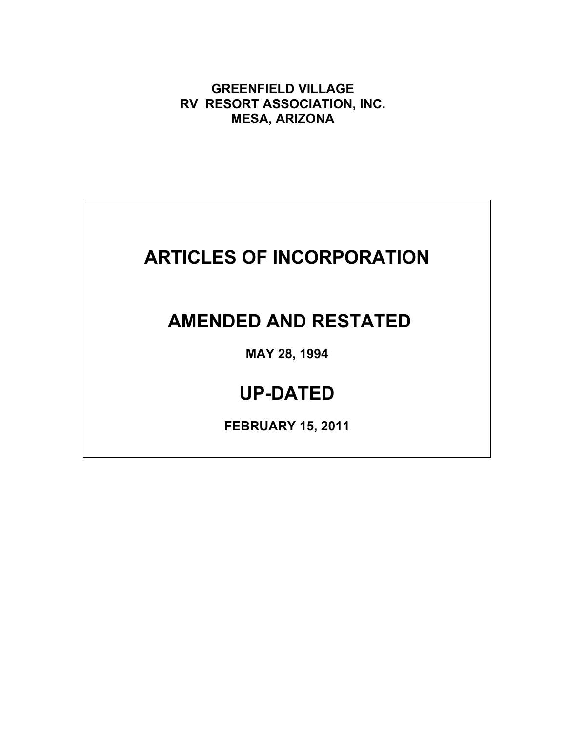**GREENFIELD VILLAGE RV RESORT ASSOCIATION, INC. MESA, ARIZONA**

## **ARTICLES OF INCORPORATION**

## **AMENDED AND RESTATED**

**MAY 28, 1994**

## **UP-DATED**

**FEBRUARY 15, 2011**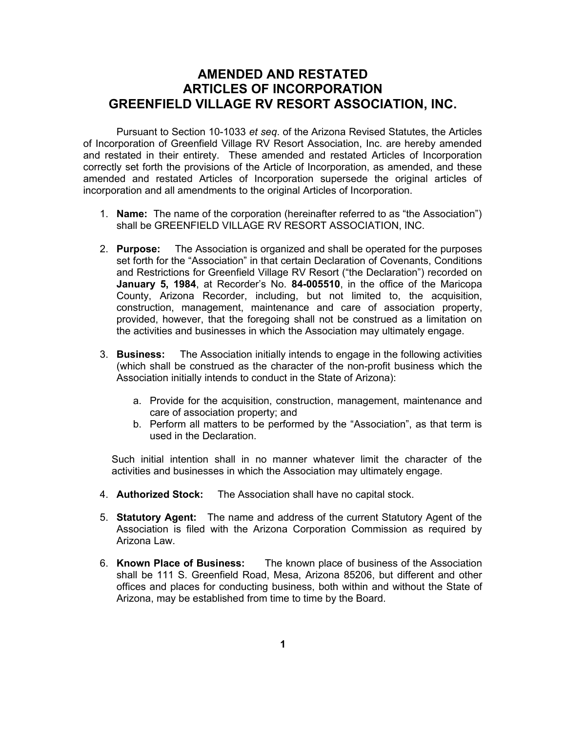## **AMENDED AND RESTATED ARTICLES OF INCORPORATION GREENFIELD VILLAGE RV RESORT ASSOCIATION, INC.**

Pursuant to Section 10-1033 *et seq*. of the Arizona Revised Statutes, the Articles of Incorporation of Greenfield Village RV Resort Association, Inc. are hereby amended and restated in their entirety. These amended and restated Articles of Incorporation correctly set forth the provisions of the Article of Incorporation, as amended, and these amended and restated Articles of Incorporation supersede the original articles of incorporation and all amendments to the original Articles of Incorporation.

- 1. **Name:** The name of the corporation (hereinafter referred to as "the Association") shall be GREENFIELD VILLAGE RV RESORT ASSOCIATION, INC.
- 2. **Purpose:** The Association is organized and shall be operated for the purposes set forth for the "Association" in that certain Declaration of Covenants, Conditions and Restrictions for Greenfield Village RV Resort ("the Declaration") recorded on **January 5, 1984**, at Recorder's No. **84-005510**, in the office of the Maricopa County, Arizona Recorder, including, but not limited to, the acquisition, construction, management, maintenance and care of association property, provided, however, that the foregoing shall not be construed as a limitation on the activities and businesses in which the Association may ultimately engage.
- 3. **Business:** The Association initially intends to engage in the following activities (which shall be construed as the character of the non-profit business which the Association initially intends to conduct in the State of Arizona):
	- a. Provide for the acquisition, construction, management, maintenance and care of association property; and
	- b. Perform all matters to be performed by the "Association", as that term is used in the Declaration.

Such initial intention shall in no manner whatever limit the character of the activities and businesses in which the Association may ultimately engage.

- 4. **Authorized Stock:** The Association shall have no capital stock.
- 5. **Statutory Agent:** The name and address of the current Statutory Agent of the Association is filed with the Arizona Corporation Commission as required by Arizona Law.
- 6. **Known Place of Business:** The known place of business of the Association shall be 111 S. Greenfield Road, Mesa, Arizona 85206, but different and other offices and places for conducting business, both within and without the State of Arizona, may be established from time to time by the Board.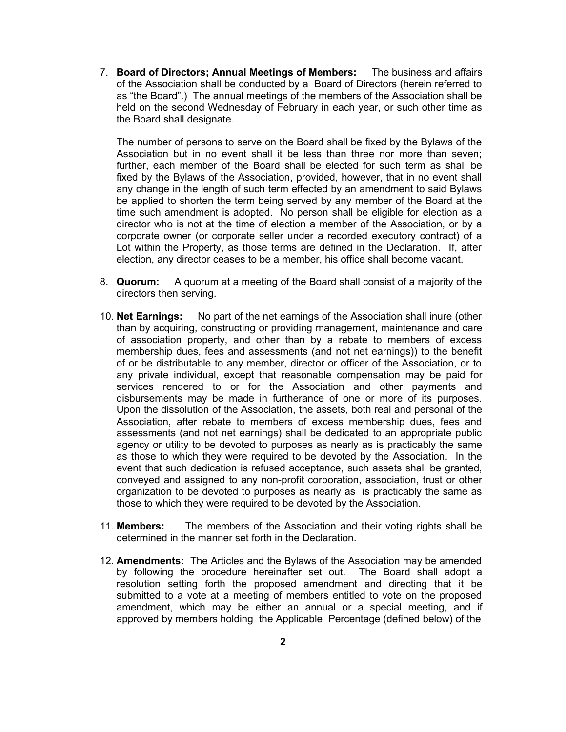7. **Board of Directors; Annual Meetings of Members:** The business and affairs of the Association shall be conducted by a Board of Directors (herein referred to as "the Board".) The annual meetings of the members of the Association shall be held on the second Wednesday of February in each year, or such other time as the Board shall designate.

The number of persons to serve on the Board shall be fixed by the Bylaws of the Association but in no event shall it be less than three nor more than seven; further, each member of the Board shall be elected for such term as shall be fixed by the Bylaws of the Association, provided, however, that in no event shall any change in the length of such term effected by an amendment to said Bylaws be applied to shorten the term being served by any member of the Board at the time such amendment is adopted. No person shall be eligible for election as a director who is not at the time of election a member of the Association, or by a corporate owner (or corporate seller under a recorded executory contract) of a Lot within the Property, as those terms are defined in the Declaration. If, after election, any director ceases to be a member, his office shall become vacant.

- 8. **Quorum:** A quorum at a meeting of the Board shall consist of a majority of the directors then serving.
- 10. **Net Earnings:** No part of the net earnings of the Association shall inure (other than by acquiring, constructing or providing management, maintenance and care of association property, and other than by a rebate to members of excess membership dues, fees and assessments (and not net earnings)) to the benefit of or be distributable to any member, director or officer of the Association, or to any private individual, except that reasonable compensation may be paid for services rendered to or for the Association and other payments and disbursements may be made in furtherance of one or more of its purposes. Upon the dissolution of the Association, the assets, both real and personal of the Association, after rebate to members of excess membership dues, fees and assessments (and not net earnings) shall be dedicated to an appropriate public agency or utility to be devoted to purposes as nearly as is practicably the same as those to which they were required to be devoted by the Association. In the event that such dedication is refused acceptance, such assets shall be granted, conveyed and assigned to any non-profit corporation, association, trust or other organization to be devoted to purposes as nearly as is practicably the same as those to which they were required to be devoted by the Association.
- 11. **Members:** The members of the Association and their voting rights shall be determined in the manner set forth in the Declaration.
- 12. **Amendments:** The Articles and the Bylaws of the Association may be amended by following the procedure hereinafter set out. The Board shall adopt a resolution setting forth the proposed amendment and directing that it be submitted to a vote at a meeting of members entitled to vote on the proposed amendment, which may be either an annual or a special meeting, and if approved by members holding the Applicable Percentage (defined below) of the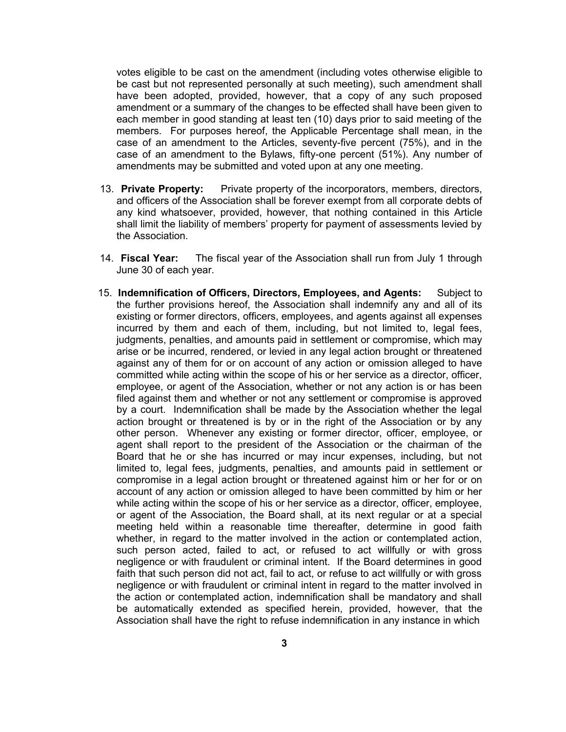votes eligible to be cast on the amendment (including votes otherwise eligible to be cast but not represented personally at such meeting), such amendment shall have been adopted, provided, however, that a copy of any such proposed amendment or a summary of the changes to be effected shall have been given to each member in good standing at least ten (10) days prior to said meeting of the members. For purposes hereof, the Applicable Percentage shall mean, in the case of an amendment to the Articles, seventy-five percent (75%), and in the case of an amendment to the Bylaws, fifty-one percent (51%). Any number of amendments may be submitted and voted upon at any one meeting.

- 13. **Private Property:** Private property of the incorporators, members, directors, and officers of the Association shall be forever exempt from all corporate debts of any kind whatsoever, provided, however, that nothing contained in this Article shall limit the liability of members' property for payment of assessments levied by the Association.
- 14. **Fiscal Year:** The fiscal year of the Association shall run from July 1 through June 30 of each year.
- 15. **Indemnification of Officers, Directors, Employees, and Agents:** Subject to the further provisions hereof, the Association shall indemnify any and all of its existing or former directors, officers, employees, and agents against all expenses incurred by them and each of them, including, but not limited to, legal fees, judgments, penalties, and amounts paid in settlement or compromise, which may arise or be incurred, rendered, or levied in any legal action brought or threatened against any of them for or on account of any action or omission alleged to have committed while acting within the scope of his or her service as a director, officer, employee, or agent of the Association, whether or not any action is or has been filed against them and whether or not any settlement or compromise is approved by a court. Indemnification shall be made by the Association whether the legal action brought or threatened is by or in the right of the Association or by any other person. Whenever any existing or former director, officer, employee, or agent shall report to the president of the Association or the chairman of the Board that he or she has incurred or may incur expenses, including, but not limited to, legal fees, judgments, penalties, and amounts paid in settlement or compromise in a legal action brought or threatened against him or her for or on account of any action or omission alleged to have been committed by him or her while acting within the scope of his or her service as a director, officer, employee, or agent of the Association, the Board shall, at its next regular or at a special meeting held within a reasonable time thereafter, determine in good faith whether, in regard to the matter involved in the action or contemplated action, such person acted, failed to act, or refused to act willfully or with gross negligence or with fraudulent or criminal intent. If the Board determines in good faith that such person did not act, fail to act, or refuse to act willfully or with gross negligence or with fraudulent or criminal intent in regard to the matter involved in the action or contemplated action, indemnification shall be mandatory and shall be automatically extended as specified herein, provided, however, that the Association shall have the right to refuse indemnification in any instance in which